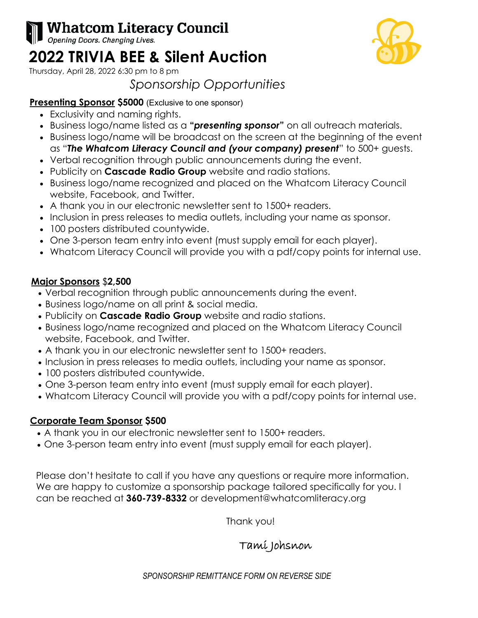# **Whatcom Literacy Council**

Opening Doors. Changing Lives.

# **2022 TRIVIA BEE & Silent Auction**

Thursday, April 28, 2022 6:30 pm to 8 pm

## *Sponsorship Opportunities*

#### **Presenting Sponsor \$5000** (Exclusive to one sponsor)

- Exclusivity and naming rights.
- Business logo/name listed as a **"***presenting sponsor***"** on all outreach materials.
- Business logo/name will be broadcast on the screen at the beginning of the event as "*The Whatcom Literacy Council and (your company) present*" to 500+ guests.
- Verbal recognition through public announcements during the event.
- Publicity on **Cascade Radio Group** website and radio stations.
- Business logo/name recognized and placed on the Whatcom Literacy Council website, Facebook, and Twitter.
- A thank you in our electronic newsletter sent to 1500+ readers.
- Inclusion in press releases to media outlets, including your name as sponsor.
- 100 posters distributed countywide.
- One 3-person team entry into event (must supply email for each player).
- Whatcom Literacy Council will provide you with a pdf/copy points for internal use.

### **Major Sponsors** \$**2,500**

- Verbal recognition through public announcements during the event.
- Business logo/name on all print & social media.
- Publicity on **Cascade Radio Group** website and radio stations.
- Business logo/name recognized and placed on the Whatcom Literacy Council website, Facebook, and Twitter.
- A thank you in our electronic newsletter sent to 1500+ readers.
- Inclusion in press releases to media outlets, including your name as sponsor.
- 100 posters distributed countywide.
- One 3-person team entry into event (must supply email for each player).
- Whatcom Literacy Council will provide you with a pdf/copy points for internal use.

### **Corporate Team Sponsor \$500**

- A thank you in our electronic newsletter sent to 1500+ readers.
- One 3-person team entry into event (must supply email for each player).

Please don't hesitate to call if you have any questions or require more information. We are happy to customize a sponsorship package tailored specifically for you. I can be reached at **360-739-8332** or development@whatcomliteracy.org

Thank you!

## Tami Johsnon

*SPONSORSHIP REMITTANCE FORM ON REVERSE SIDE*